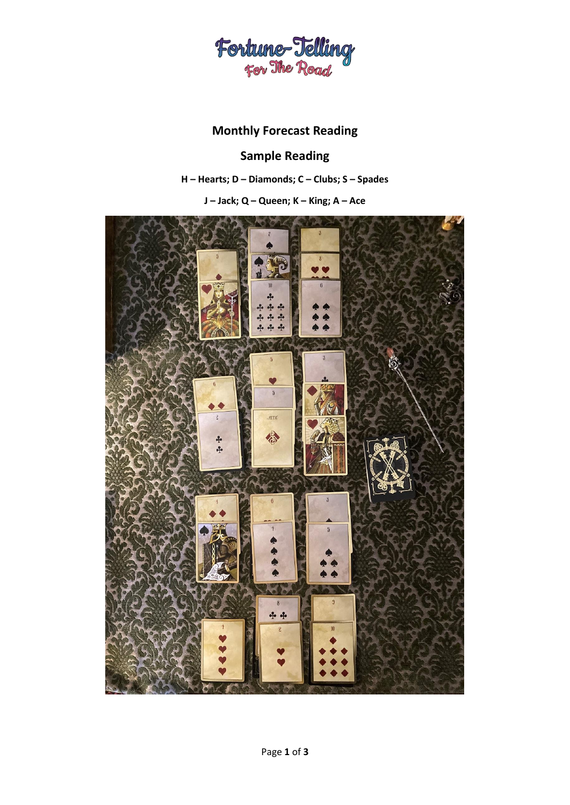

# **Monthly Forecast Reading**

# **Sample Reading**

**H – Hearts; D – Diamonds; C – Clubs; S – Spades**

**J – Jack; Q – Queen; K – King; A – Ace**

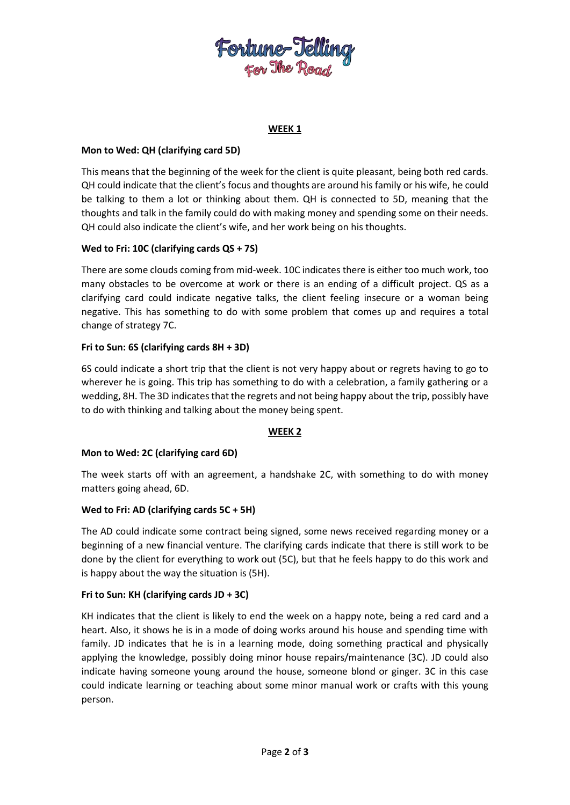

# **WEEK 1**

# **Mon to Wed: QH (clarifying card 5D)**

This means that the beginning of the week for the client is quite pleasant, being both red cards. QH could indicate that the client's focus and thoughts are around his family or his wife, he could be talking to them a lot or thinking about them. QH is connected to 5D, meaning that the thoughts and talk in the family could do with making money and spending some on their needs. QH could also indicate the client's wife, and her work being on his thoughts.

# **Wed to Fri: 10C (clarifying cards QS + 7S)**

There are some clouds coming from mid-week. 10C indicates there is either too much work, too many obstacles to be overcome at work or there is an ending of a difficult project. QS as a clarifying card could indicate negative talks, the client feeling insecure or a woman being negative. This has something to do with some problem that comes up and requires a total change of strategy 7C.

# **Fri to Sun: 6S (clarifying cards 8H + 3D)**

6S could indicate a short trip that the client is not very happy about or regrets having to go to wherever he is going. This trip has something to do with a celebration, a family gathering or a wedding, 8H. The 3D indicates that the regrets and not being happy about the trip, possibly have to do with thinking and talking about the money being spent.

#### **WEEK 2**

# **Mon to Wed: 2C (clarifying card 6D)**

The week starts off with an agreement, a handshake 2C, with something to do with money matters going ahead, 6D.

#### **Wed to Fri: AD (clarifying cards 5C + 5H)**

The AD could indicate some contract being signed, some news received regarding money or a beginning of a new financial venture. The clarifying cards indicate that there is still work to be done by the client for everything to work out (5C), but that he feels happy to do this work and is happy about the way the situation is (5H).

#### **Fri to Sun: KH (clarifying cards JD + 3C)**

KH indicates that the client is likely to end the week on a happy note, being a red card and a heart. Also, it shows he is in a mode of doing works around his house and spending time with family. JD indicates that he is in a learning mode, doing something practical and physically applying the knowledge, possibly doing minor house repairs/maintenance (3C). JD could also indicate having someone young around the house, someone blond or ginger. 3C in this case could indicate learning or teaching about some minor manual work or crafts with this young person.